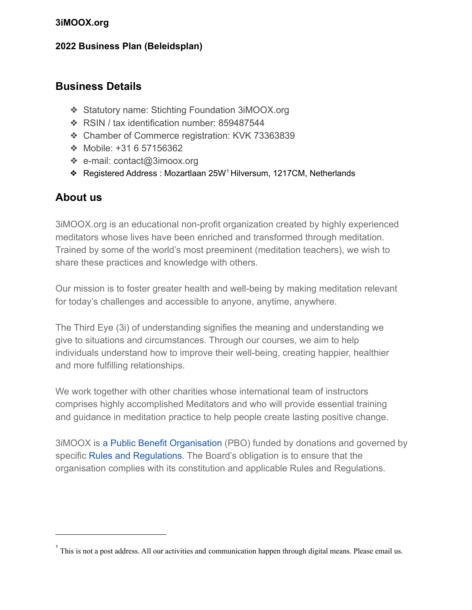#### **2022 Business Plan (Beleidsplan)**

### **Business Details**

- ❖ Statutory name: Stichting Foundation 3iMOOX.org
- ❖ RSIN / tax identification number: 859487544
- ❖ Chamber of Commerce registration: KVK 73363839
- ❖ Mobile: +31 6 57156362
- ❖ e-mail: contact@3imoox.org
- ❖ Registered Address : Mozartlaan 25W Hilversum, 1217CM, Netherlands 1

## **About us**

3iMOOX.org is an educational non-profit organization created by highly experienced meditators whose lives have been enriched and transformed through meditation. Trained by some of the world's most preeminent (meditation teachers), we wish to share these practices and knowledge with others.

Our mission is to foster greater health and well-being by making meditation relevant for today's challenges and accessible to anyone, anytime, anywhere.

The Third Eye (3i) of understanding signifies the meaning and understanding we give to situations and circumstances. Through our courses, we aim to help individuals understand how to improve their well-being, creating happier, healthier and more fulfilling relationships.

We work together with other charities whose international team of instructors comprises highly accomplished Meditators and who will provide essential training and guidance in meditation practice to help people create lasting positive change.

3iMOOX is a Public Benefit Organisation (PBO) funded by donations and governed by specific Rules and Regulations. The Board's obligation is to ensure that the organisation complies with its constitution and applicable Rules and Regulations.

<sup>&</sup>lt;sup>1</sup> This is not a post address. All our activities and communication happen through digital means. Please email us.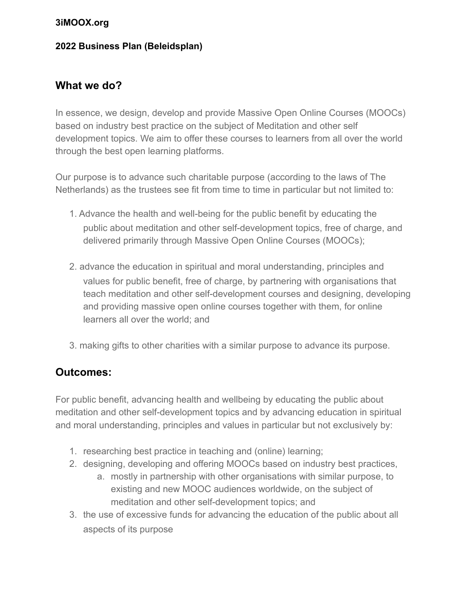#### **2022 Business Plan (Beleidsplan)**

## **What we do?**

In essence, we design, develop and provide Massive Open Online Courses (MOOCs) based on industry best practice on the subject of Meditation and other self development topics. We aim to offer these courses to learners from all over the world through the best open learning platforms.

Our purpose is to advance such charitable purpose (according to the laws of The Netherlands) as the trustees see fit from time to time in particular but not limited to:

- 1. Advance the health and well-being for the public benefit by educating the public about meditation and other self-development topics, free of charge, and delivered primarily through Massive Open Online Courses (MOOCs);
- 2. advance the education in spiritual and moral understanding, principles and values for public benefit, free of charge, by partnering with organisations that teach meditation and other self-development courses and designing, developing and providing massive open online courses together with them, for online learners all over the world; and
- 3. making gifts to other charities with a similar purpose to advance its purpose.

## **Outcomes:**

For public benefit, advancing health and wellbeing by educating the public about meditation and other self-development topics and by advancing education in spiritual and moral understanding, principles and values in particular but not exclusively by:

- 1. researching best practice in teaching and (online) learning;
- 2. designing, developing and offering MOOCs based on industry best practices,
	- a. mostly in partnership with other organisations with similar purpose, to existing and new MOOC audiences worldwide, on the subject of meditation and other self-development topics; and
- 3. the use of excessive funds for advancing the education of the public about all aspects of its purpose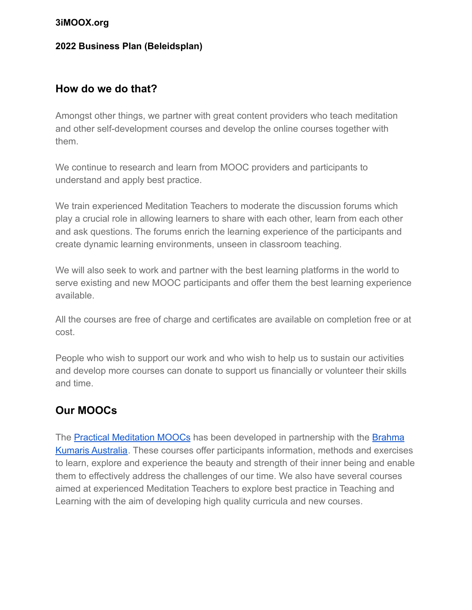#### **2022 Business Plan (Beleidsplan)**

### **How do we do that?**

Amongst other things, we partner with great content providers who teach meditation and other self-development courses and develop the online courses together with them.

We continue to research and learn from MOOC providers and participants to understand and apply best practice.

We train experienced Meditation Teachers to moderate the discussion forums which play a crucial role in allowing learners to share with each other, learn from each other and ask questions. The forums enrich the learning experience of the participants and create dynamic learning environments, unseen in classroom teaching.

We will also seek to work and partner with the best learning platforms in the world to serve existing and new MOOC participants and offer them the best learning experience available.

All the courses are free of charge and certificates are available on completion free or at cost.

People who wish to support our work and who wish to help us to sustain our activities and develop more courses can donate to support us financially or volunteer their skills and time.

# **Our MOOCs**

The Practical [Meditation](https://www.3imoox.org/) MOOCs has been developed in partnership with the [Brahma](https://brahmakumaris.org.au/) Kumaris [Australia](https://brahmakumaris.org.au/). These courses offer participants information, methods and exercises to learn, explore and experience the beauty and strength of their inner being and enable them to effectively address the challenges of our time. We also have several courses aimed at experienced Meditation Teachers to explore best practice in Teaching and Learning with the aim of developing high quality curricula and new courses.